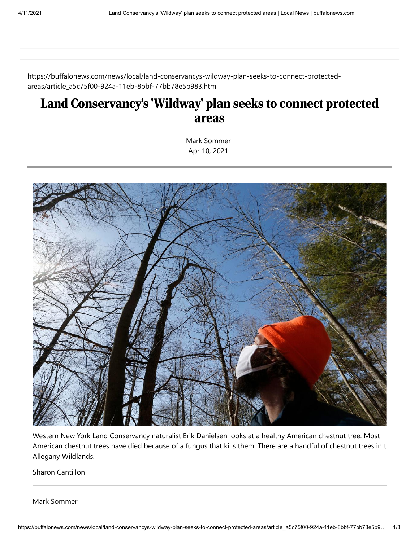https://buffalonews.com/news/local/land-conservancys-wildway-plan-seeks-to-connect-protectedareas/article\_a5c75f00-924a-11eb-8bbf-77bb78e5b983.html

# Land Conservancy's 'Wildway' plan seeks to connect protected areas

[Mark Sommer](https://buffalonews.com/users/profile/Mark%20Sommer) Apr 10, 2021



Western New York Land Conservancy naturalist Erik Danielsen looks at a healthy American chestnut tree. Most American chestnut trees have died because of a fungus that kills them. There are a handful of chestnut trees in t Allegany Wildlands.

Sharon Cantillon

[Mark Sommer](https://buffalonews.com/users/profile/Mark%20Sommer)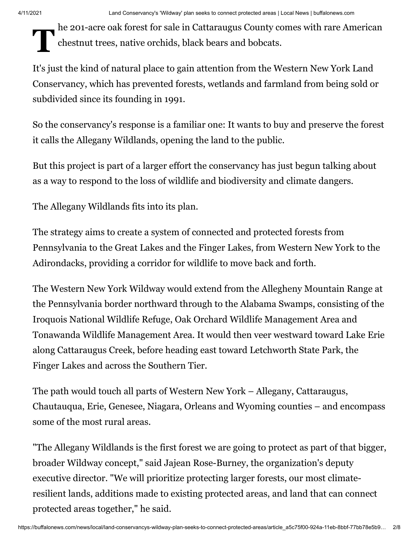# $\mathbf{T}^{\text{m}}$ he 201-acre oak forest for sale in Cattaraugus County comes with rare American chestnut trees, native orchids, black bears and bobcats.

It's just the kind of natural place to gain attention from the Western New York Land Conservancy, which has prevented forests, wetlands and farmland from being sold or subdivided since its founding in 1991.

So the conservancy's response is a familiar one: It wants to buy and preserve the forest it calls the Allegany Wildlands, opening the land to the public.

But this project is part of a larger effort the conservancy has just begun talking about as a way to respond to the loss of wildlife and biodiversity and climate dangers.

The Allegany Wildlands fits into its plan.

The strategy aims to create a system of connected and protected forests from Pennsylvania to the Great Lakes and the Finger Lakes, from Western New York to the Adirondacks, providing a corridor for wildlife to move back and forth.

The Western New York Wildway would extend from the Allegheny Mountain Range at the Pennsylvania border northward through to the Alabama Swamps, consisting of the Iroquois National Wildlife Refuge, Oak Orchard Wildlife Management Area and Tonawanda Wildlife Management Area. It would then veer westward toward Lake Erie along Cattaraugus Creek, before heading east toward Letchworth State Park, the Finger Lakes and across the Southern Tier.

The path would touch all parts of Western New York – Allegany, Cattaraugus, Chautauqua, Erie, Genesee, Niagara, Orleans and Wyoming counties – and encompass some of the most rural areas.

"The Allegany Wildlands is the first forest we are going to protect as part of that bigger, broader Wildway concept," said Jajean Rose-Burney, the organization's deputy executive director. "We will prioritize protecting larger forests, our most climateresilient lands, additions made to existing protected areas, and land that can connect protected areas together," he said.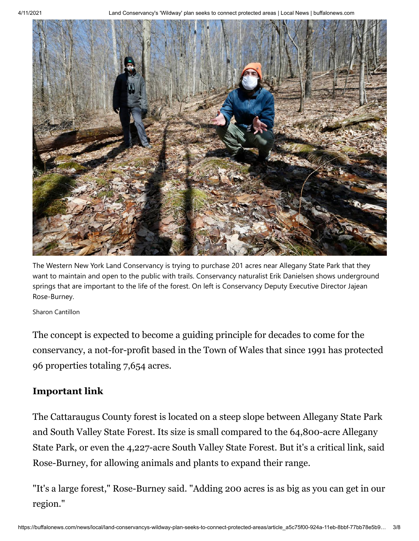

The Western New York Land Conservancy is trying to purchase 201 acres near Allegany State Park that they want to maintain and open to the public with trails. Conservancy naturalist Erik Danielsen shows underground springs that are important to the life of the forest. On left is Conservancy Deputy Executive Director Jajean Rose-Burney.

#### Sharon [Cantillon](https://buffalonews.com/users/profile/Sharon%20Cantillon)

The concept is expected to become a guiding principle for decades to come for the conservancy, a not-for-profit based in the Town of Wales that since 1991 has protected 96 properties totaling 7,654 acres.

#### **Important link**

The Cattaraugus County forest is located on a steep slope between Allegany State Park and South Valley State Forest. Its size is small compared to the 64,800-acre Allegany State Park, or even the 4,227-acre South Valley State Forest. But it's a critical link, said Rose-Burney, for allowing animals and plants to expand their range.

"It's a large forest," Rose-Burney said. "Adding 200 acres is as big as you can get in our region."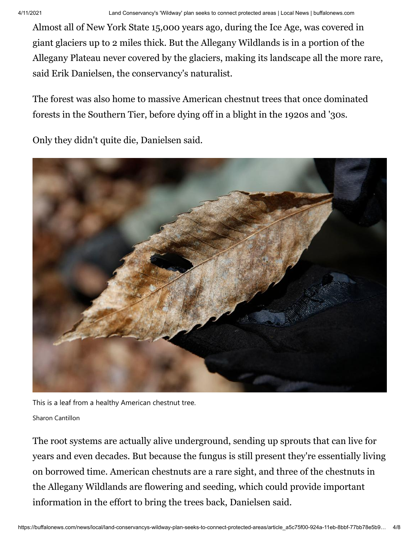Almost all of New York State 15,000 years ago, during the Ice Age, was covered in giant glaciers up to 2 miles thick. But the Allegany Wildlands is in a portion of the Allegany Plateau never covered by the glaciers, making its landscape all the more rare, said Erik Danielsen, the conservancy's naturalist.

The forest was also home to massive American chestnut trees that once dominated forests in the Southern Tier, before dying off in a blight in the 1920s and '30s.

Only they didn't quite die, Danielsen said.



This is a leaf from a healthy American chestnut tree.

Sharon [Cantillon](https://buffalonews.com/users/profile/Sharon%20Cantillon)

The root systems are actually alive underground, sending up sprouts that can live for years and even decades. But because the fungus is still present they're essentially living on borrowed time. American chestnuts are a rare sight, and three of the chestnuts in the Allegany Wildlands are flowering and seeding, which could provide important information in the effort to bring the trees back, Danielsen said.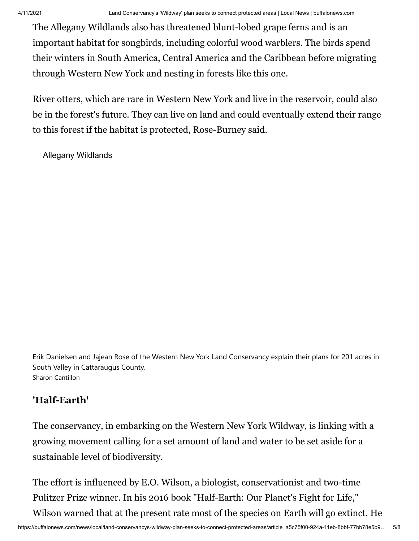The Allegany Wildlands also has threatened blunt-lobed grape ferns and is an important habitat for songbirds, including colorful wood warblers. The birds spend their winters in South America, Central America and the Caribbean before migrating through Western New York and nesting in forests like this one.

River otters, which are rare in Western New York and live in the reservoir, could also be in the forest's future. They can live on land and could eventually extend their range to this forest if the habitat is protected, Rose-Burney said.

Allegany Wildlands

Erik Danielsen and Jajean Rose of the Western New York Land Conservancy explain their plans for 201 acres in South Valley in Cattaraugus County. Sharon [Cantillon](https://buffalonews.com/users/profile/Sharon%20Cantillon)

### **'Half-Earth'**

The conservancy, in embarking on the Western New York Wildway, is linking with a growing movement calling for a set amount of land and water to be set aside for a sustainable level of biodiversity.

The effort is influenced by E.O. Wilson, a biologist, conservationist and two-time Pulitzer Prize winner. In his 2016 book "Half-Earth: Our Planet's Fight for Life," Wilson warned that at the present rate most of the species on Earth will go extinct. He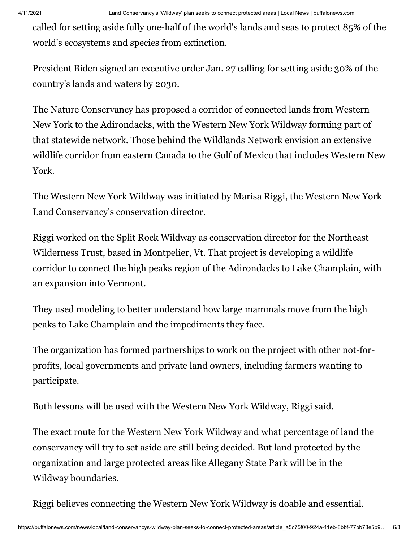called for setting aside fully one-half of the world's lands and seas to protect 85% of the world's ecosystems and species from extinction.

President Biden signed an executive order Jan. 27 calling for setting aside 30% of the country's lands and waters by 2030.

The Nature Conservancy has proposed a corridor of connected lands from Western New York to the Adirondacks, with the Western New York Wildway forming part of that statewide network. Those behind the Wildlands Network envision an extensive wildlife corridor from eastern Canada to the Gulf of Mexico that includes Western New York.

The Western New York Wildway was initiated by Marisa Riggi, the Western New York Land Conservancy's conservation director.

Riggi worked on the Split Rock Wildway as conservation director for the Northeast Wilderness Trust, based in Montpelier, Vt. That project is developing a wildlife corridor to connect the high peaks region of the Adirondacks to Lake Champlain, with an expansion into Vermont.

They used modeling to better understand how large mammals move from the high peaks to Lake Champlain and the impediments they face.

The organization has formed partnerships to work on the project with other not-forprofits, local governments and private land owners, including farmers wanting to participate.

Both lessons will be used with the Western New York Wildway, Riggi said.

The exact route for the Western New York Wildway and what percentage of land the conservancy will try to set aside are still being decided. But land protected by the organization and large protected areas like Allegany State Park will be in the Wildway boundaries.

Riggi believes connecting the Western New York Wildway is doable and essential.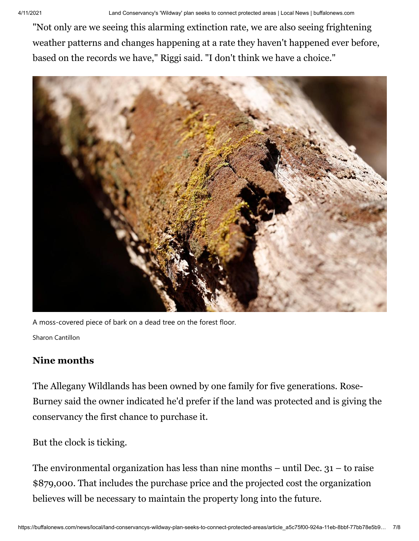"Not only are we seeing this alarming extinction rate, we are also seeing frightening weather patterns and changes happening at a rate they haven't happened ever before, based on the records we have," Riggi said. "I don't think we have a choice."



A moss-covered piece of bark on a dead tree on the forest floor. Sharon [Cantillon](https://buffalonews.com/users/profile/Sharon%20Cantillon)

## **Nine months**

The Allegany Wildlands has been owned by one family for five generations. Rose-Burney said the owner indicated he'd prefer if the land was protected and is giving the conservancy the first chance to purchase it.

But the clock is ticking.

The environmental organization has less than nine months  $-$  until Dec.  $31$  – to raise \$879,000. That includes the purchase price and the projected cost the organization believes will be necessary to maintain the property long into the future.